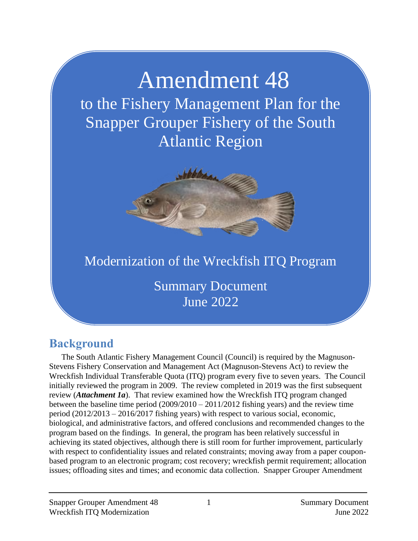# Amendment 48

to the Fishery Management Plan for the Snapper Grouper Fishery of the South Atlantic Region



# Modernization of the Wreckfish ITQ Program

Summary Document June 2022

# **Background**

The South Atlantic Fishery Management Council (Council) is required by the Magnuson-Stevens Fishery Conservation and Management Act (Magnuson-Stevens Act) to review the Wreckfish Individual Transferable Quota (ITQ) program every five to seven years. The Council initially reviewed the program in 2009. The review completed in 2019 was the first subsequent review (*Attachment 1a*). That review examined how the Wreckfish ITQ program changed between the baseline time period  $(2009/2010 - 2011/2012$  fishing years) and the review time period (2012/2013 – 2016/2017 fishing years) with respect to various social, economic, biological, and administrative factors, and offered conclusions and recommended changes to the program based on the findings. In general, the program has been relatively successful in achieving its stated objectives, although there is still room for further improvement, particularly with respect to confidentiality issues and related constraints; moving away from a paper couponbased program to an electronic program; cost recovery; wreckfish permit requirement; allocation issues; offloading sites and times; and economic data collection. Snapper Grouper Amendment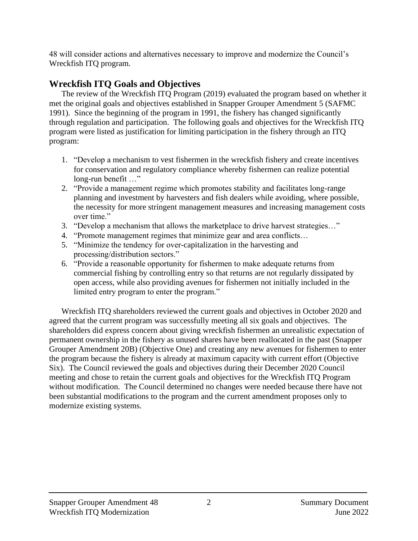48 will consider actions and alternatives necessary to improve and modernize the Council's Wreckfish ITQ program.

# **Wreckfish ITQ Goals and Objectives**

The review of the Wreckfish ITQ Program (2019) evaluated the program based on whether it met the original goals and objectives established in Snapper Grouper Amendment 5 (SAFMC 1991). Since the beginning of the program in 1991, the fishery has changed significantly through regulation and participation. The following goals and objectives for the Wreckfish ITQ program were listed as justification for limiting participation in the fishery through an ITQ program:

- 1. "Develop a mechanism to vest fishermen in the wreckfish fishery and create incentives for conservation and regulatory compliance whereby fishermen can realize potential long-run benefit …"
- 2. "Provide a management regime which promotes stability and facilitates long-range planning and investment by harvesters and fish dealers while avoiding, where possible, the necessity for more stringent management measures and increasing management costs over time."
- 3. "Develop a mechanism that allows the marketplace to drive harvest strategies…"
- 4. "Promote management regimes that minimize gear and area conflicts…
- 5. "Minimize the tendency for over-capitalization in the harvesting and processing/distribution sectors."
- 6. "Provide a reasonable opportunity for fishermen to make adequate returns from commercial fishing by controlling entry so that returns are not regularly dissipated by open access, while also providing avenues for fishermen not initially included in the limited entry program to enter the program."

Wreckfish ITQ shareholders reviewed the current goals and objectives in October 2020 and agreed that the current program was successfully meeting all six goals and objectives. The shareholders did express concern about giving wreckfish fishermen an unrealistic expectation of permanent ownership in the fishery as unused shares have been reallocated in the past (Snapper Grouper Amendment 20B) (Objective One) and creating any new avenues for fishermen to enter the program because the fishery is already at maximum capacity with current effort (Objective Six). The Council reviewed the goals and objectives during their December 2020 Council meeting and chose to retain the current goals and objectives for the Wreckfish ITQ Program without modification. The Council determined no changes were needed because there have not been substantial modifications to the program and the current amendment proposes only to modernize existing systems.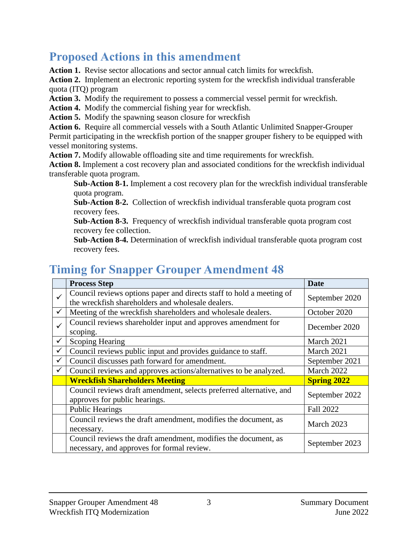# **Proposed Actions in this amendment**

**Action 1.** Revise sector allocations and sector annual catch limits for wreckfish.

**Action 2.** Implement an electronic reporting system for the wreckfish individual transferable quota (ITQ) program

**Action 3.** Modify the requirement to possess a commercial vessel permit for wreckfish.

**Action 4.** Modify the commercial fishing year for wreckfish.

**Action 5.** Modify the spawning season closure for wreckfish

**Action 6.** Require all commercial vessels with a South Atlantic Unlimited Snapper-Grouper Permit participating in the wreckfish portion of the snapper grouper fishery to be equipped with vessel monitoring systems.

**Action 7.** Modify allowable offloading site and time requirements for wreckfish.

**Action 8.** Implement a cost recovery plan and associated conditions for the wreckfish individual transferable quota program.

**Sub-Action 8-1.** Implement a cost recovery plan for the wreckfish individual transferable quota program.

**Sub-Action 8-2.** Collection of wreckfish individual transferable quota program cost recovery fees.

**Sub-Action 8-3.** Frequency of wreckfish individual transferable quota program cost recovery fee collection.

**Sub-Action 8-4.** Determination of wreckfish individual transferable quota program cost recovery fees.

# **Timing for Snapper Grouper Amendment 48**

|              | <b>Process Step</b>                                                                                                       | <b>Date</b>        |
|--------------|---------------------------------------------------------------------------------------------------------------------------|--------------------|
| $\checkmark$ | Council reviews options paper and directs staff to hold a meeting of<br>the wreckfish shareholders and wholesale dealers. | September 2020     |
| $\checkmark$ | Meeting of the wreckfish shareholders and wholesale dealers.                                                              | October 2020       |
| $\checkmark$ | Council reviews shareholder input and approves amendment for<br>scoping.                                                  | December 2020      |
| $\checkmark$ | <b>Scoping Hearing</b>                                                                                                    | March 2021         |
| $\checkmark$ | Council reviews public input and provides guidance to staff.                                                              | March 2021         |
| $\checkmark$ | Council discusses path forward for amendment.                                                                             | September 2021     |
| ✓            | Council reviews and approves actions/alternatives to be analyzed.                                                         | March 2022         |
|              | <b>Wreckfish Shareholders Meeting</b>                                                                                     | <b>Spring 2022</b> |
|              | Council reviews draft amendment, selects preferred alternative, and<br>approves for public hearings.                      | September 2022     |
|              | <b>Public Hearings</b>                                                                                                    | <b>Fall 2022</b>   |
|              | Council reviews the draft amendment, modifies the document, as<br>necessary.                                              | March 2023         |
|              | Council reviews the draft amendment, modifies the document, as<br>necessary, and approves for formal review.              | September 2023     |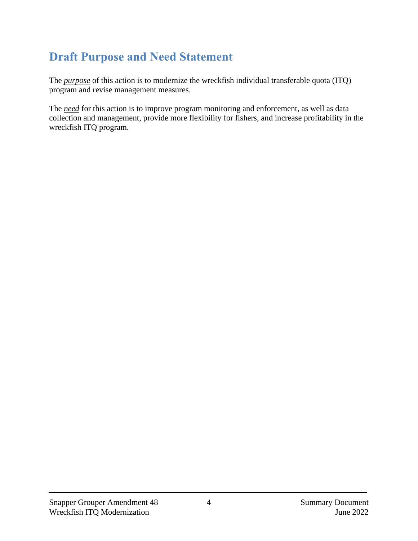# **Draft Purpose and Need Statement**

The *purpose* of this action is to modernize the wreckfish individual transferable quota (ITQ) program and revise management measures.

The *need* for this action is to improve program monitoring and enforcement, as well as data collection and management, provide more flexibility for fishers, and increase profitability in the wreckfish ITQ program.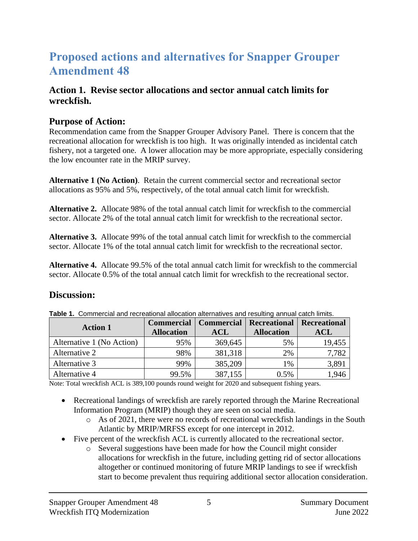# **Proposed actions and alternatives for Snapper Grouper Amendment 48**

#### **Action 1. Revise sector allocations and sector annual catch limits for wreckfish.**

#### **Purpose of Action:**

Recommendation came from the Snapper Grouper Advisory Panel. There is concern that the recreational allocation for wreckfish is too high. It was originally intended as incidental catch fishery, not a targeted one. A lower allocation may be more appropriate, especially considering the low encounter rate in the MRIP survey.

**Alternative 1 (No Action)**. Retain the current commercial sector and recreational sector allocations as 95% and 5%, respectively, of the total annual catch limit for wreckfish.

**Alternative 2.** Allocate 98% of the total annual catch limit for wreckfish to the commercial sector. Allocate 2% of the total annual catch limit for wreckfish to the recreational sector.

**Alternative 3.** Allocate 99% of the total annual catch limit for wreckfish to the commercial sector. Allocate 1% of the total annual catch limit for wreckfish to the recreational sector.

**Alternative 4.** Allocate 99.5% of the total annual catch limit for wreckfish to the commercial sector. Allocate 0.5% of the total annual catch limit for wreckfish to the recreational sector.

#### **Discussion:**

|  |  | Table 1. Commercial and recreational allocation alternatives and resulting annual catch limits. |
|--|--|-------------------------------------------------------------------------------------------------|
|  |  |                                                                                                 |

|                           |                   | <b>Commercial</b>   Commercial | <b>Recreational</b> | <b>Recreational</b> |
|---------------------------|-------------------|--------------------------------|---------------------|---------------------|
| <b>Action 1</b>           | <b>Allocation</b> | <b>ACL</b>                     | <b>Allocation</b>   | <b>ACL</b>          |
| Alternative 1 (No Action) | 95%               | 369,645                        | 5%                  | 19,455              |
| Alternative 2             | 98%               | 381,318                        | 2%                  | 7,782               |
| Alternative 3             | 99%               | 385,209                        | $1\%$               | 3,891               |
| Alternative 4             | 99.5%             | 387,155                        | 0.5%                | ,946                |

Note: Total wreckfish ACL is 389,100 pounds round weight for 2020 and subsequent fishing years.

- Recreational landings of wreckfish are rarely reported through the Marine Recreational Information Program (MRIP) though they are seen on social media.
	- o As of 2021, there were no records of recreational wreckfish landings in the South Atlantic by MRIP/MRFSS except for one intercept in 2012.
- Five percent of the wreckfish ACL is currently allocated to the recreational sector.
	- o Several suggestions have been made for how the Council might consider allocations for wreckfish in the future, including getting rid of sector allocations altogether or continued monitoring of future MRIP landings to see if wreckfish start to become prevalent thus requiring additional sector allocation consideration.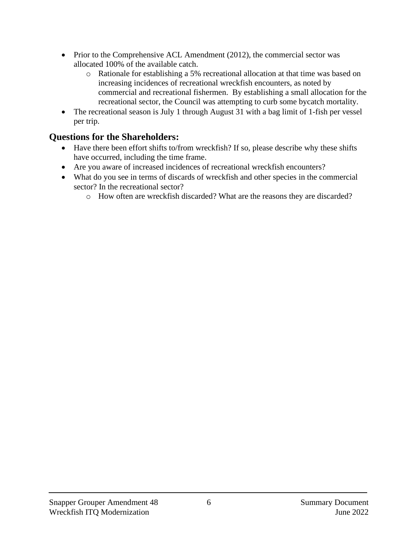- Prior to the Comprehensive ACL Amendment (2012), the commercial sector was allocated 100% of the available catch.
	- o Rationale for establishing a 5% recreational allocation at that time was based on increasing incidences of recreational wreckfish encounters, as noted by commercial and recreational fishermen. By establishing a small allocation for the recreational sector, the Council was attempting to curb some bycatch mortality.
- The recreational season is July 1 through August 31 with a bag limit of 1-fish per vessel per trip.

- Have there been effort shifts to/from wreckfish? If so, please describe why these shifts have occurred, including the time frame.
- Are you aware of increased incidences of recreational wreckfish encounters?
- What do you see in terms of discards of wreckfish and other species in the commercial sector? In the recreational sector?
	- o How often are wreckfish discarded? What are the reasons they are discarded?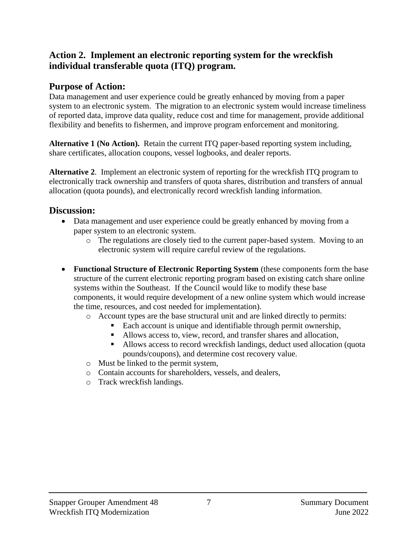#### **Action 2. Implement an electronic reporting system for the wreckfish individual transferable quota (ITQ) program.**

#### **Purpose of Action:**

Data management and user experience could be greatly enhanced by moving from a paper system to an electronic system. The migration to an electronic system would increase timeliness of reported data, improve data quality, reduce cost and time for management, provide additional flexibility and benefits to fishermen, and improve program enforcement and monitoring.

**Alternative 1 (No Action).** Retain the current ITQ paper-based reporting system including, share certificates, allocation coupons, vessel logbooks, and dealer reports.

**Alternative 2**. Implement an electronic system of reporting for the wreckfish ITQ program to electronically track ownership and transfers of quota shares, distribution and transfers of annual allocation (quota pounds), and electronically record wreckfish landing information.

#### **Discussion:**

- Data management and user experience could be greatly enhanced by moving from a paper system to an electronic system.
	- o The regulations are closely tied to the current paper-based system. Moving to an electronic system will require careful review of the regulations.
- **Functional Structure of Electronic Reporting System** (these components form the base structure of the current electronic reporting program based on existing catch share online systems within the Southeast. If the Council would like to modify these base components, it would require development of a new online system which would increase the time, resources, and cost needed for implementation).
	- o Account types are the base structural unit and are linked directly to permits:
		- Each account is unique and identifiable through permit ownership,
		- Allows access to, view, record, and transfer shares and allocation,
		- Allows access to record wreckfish landings, deduct used allocation (quota pounds/coupons), and determine cost recovery value.
	- o Must be linked to the permit system,
	- o Contain accounts for shareholders, vessels, and dealers,
	- o Track wreckfish landings.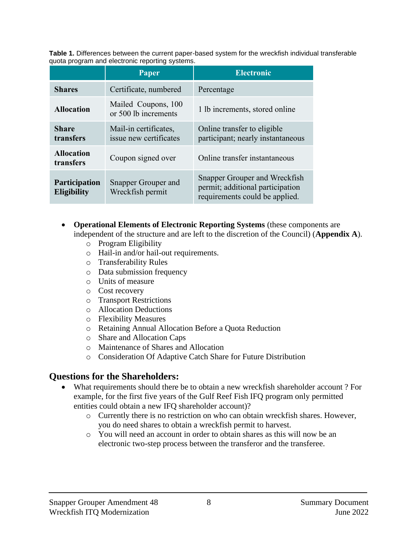**Table 1.** Differences between the current paper-based system for the wreckfish individual transferable quota program and electronic reporting systems.

|                                            | Paper                                           | <b>Electronic</b>                                                                                   |
|--------------------------------------------|-------------------------------------------------|-----------------------------------------------------------------------------------------------------|
| <b>Shares</b>                              | Certificate, numbered                           | Percentage                                                                                          |
| <b>Allocation</b>                          | Mailed Coupons, 100<br>or 500 lb increments     | 1 lb increments, stored online                                                                      |
| <b>Share</b><br>transfers                  | Mail-in certificates,<br>issue new certificates | Online transfer to eligible<br>participant; nearly instantaneous                                    |
| <b>Allocation</b><br>transfers             | Coupon signed over                              | Online transfer instantaneous                                                                       |
| <b>Participation</b><br><b>Eligibility</b> | Snapper Grouper and<br>Wreckfish permit         | Snapper Grouper and Wreckfish<br>permit; additional participation<br>requirements could be applied. |

- **Operational Elements of Electronic Reporting Systems** (these components are independent of the structure and are left to the discretion of the Council) (**Appendix A**).
	- o Program Eligibility
	- o Hail-in and/or hail-out requirements.
	- o Transferability Rules
	- o Data submission frequency
	- o Units of measure
	- o Cost recovery
	- o Transport Restrictions
	- o Allocation Deductions
	- o Flexibility Measures
	- o Retaining Annual Allocation Before a Quota Reduction
	- o Share and Allocation Caps
	- o Maintenance of Shares and Allocation
	- o Consideration Of Adaptive Catch Share for Future Distribution

- What requirements should there be to obtain a new wreckfish shareholder account ? For example, for the first five years of the Gulf Reef Fish IFQ program only permitted entities could obtain a new IFQ shareholder account)?
	- o Currently there is no restriction on who can obtain wreckfish shares. However, you do need shares to obtain a wreckfish permit to harvest.
	- o You will need an account in order to obtain shares as this will now be an electronic two-step process between the transferor and the transferee.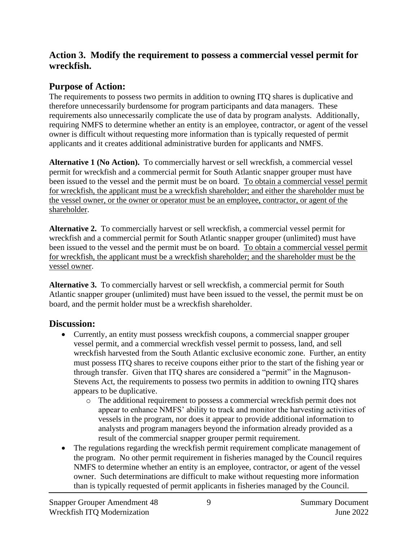#### **Action 3. Modify the requirement to possess a commercial vessel permit for wreckfish.**

# **Purpose of Action:**

The requirements to possess two permits in addition to owning ITQ shares is duplicative and therefore unnecessarily burdensome for program participants and data managers. These requirements also unnecessarily complicate the use of data by program analysts. Additionally, requiring NMFS to determine whether an entity is an employee, contractor, or agent of the vessel owner is difficult without requesting more information than is typically requested of permit applicants and it creates additional administrative burden for applicants and NMFS.

**Alternative 1 (No Action).** To commercially harvest or sell wreckfish, a commercial vessel permit for wreckfish and a commercial permit for South Atlantic snapper grouper must have been issued to the vessel and the permit must be on board. To obtain a commercial vessel permit for wreckfish, the applicant must be a wreckfish shareholder; and either the shareholder must be the vessel owner, or the owner or operator must be an employee, contractor, or agent of the shareholder.

**Alternative 2.** To commercially harvest or sell wreckfish, a commercial vessel permit for wreckfish and a commercial permit for South Atlantic snapper grouper (unlimited) must have been issued to the vessel and the permit must be on board. To obtain a commercial vessel permit for wreckfish, the applicant must be a wreckfish shareholder; and the shareholder must be the vessel owner.

**Alternative 3.** To commercially harvest or sell wreckfish, a commercial permit for South Atlantic snapper grouper (unlimited) must have been issued to the vessel, the permit must be on board, and the permit holder must be a wreckfish shareholder.

# **Discussion:**

- Currently, an entity must possess wreckfish coupons, a commercial snapper grouper vessel permit, and a commercial wreckfish vessel permit to possess, land, and sell wreckfish harvested from the South Atlantic exclusive economic zone. Further, an entity must possess ITQ shares to receive coupons either prior to the start of the fishing year or through transfer. Given that ITQ shares are considered a "permit" in the Magnuson-Stevens Act, the requirements to possess two permits in addition to owning ITQ shares appears to be duplicative.
	- o The additional requirement to possess a commercial wreckfish permit does not appear to enhance NMFS' ability to track and monitor the harvesting activities of vessels in the program, nor does it appear to provide additional information to analysts and program managers beyond the information already provided as a result of the commercial snapper grouper permit requirement.
- The regulations regarding the wreckfish permit requirement complicate management of the program. No other permit requirement in fisheries managed by the Council requires NMFS to determine whether an entity is an employee, contractor, or agent of the vessel owner. Such determinations are difficult to make without requesting more information than is typically requested of permit applicants in fisheries managed by the Council.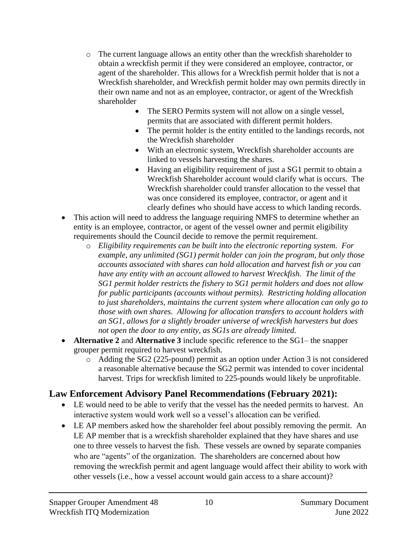- o The current language allows an entity other than the wreckfish shareholder to obtain a wreckfish permit if they were considered an employee, contractor, or agent of the shareholder. This allows for a Wreckfish permit holder that is not a Wreckfish shareholder, and Wreckfish permit holder may own permits directly in their own name and not as an employee, contractor, or agent of the Wreckfish shareholder
	- The SERO Permits system will not allow on a single vessel, permits that are associated with different permit holders.
	- The permit holder is the entity entitled to the landings records, not the Wreckfish shareholder
	- With an electronic system, Wreckfish shareholder accounts are linked to vessels harvesting the shares.
	- Having an eligibility requirement of just a SG1 permit to obtain a Wreckfish Shareholder account would clarify what is occurs. The Wreckfish shareholder could transfer allocation to the vessel that was once considered its employee, contractor, or agent and it clearly defines who should have access to which landing records.
- This action will need to address the language requiring NMFS to determine whether an entity is an employee, contractor, or agent of the vessel owner and permit eligibility requirements should the Council decide to remove the permit requirement.
	- o *Eligibility requirements can be built into the electronic reporting system. For example, any unlimited (SG1) permit holder can join the program, but only those accounts associated with shares can hold allocation and harvest fish or you can have any entity with an account allowed to harvest Wreckfish. The limit of the SG1 permit holder restricts the fishery to SG1 permit holders and does not allow for public participants (accounts without permits). Restricting holding allocation to just shareholders, maintains the current system where allocation can only go to those with own shares. Allowing for allocation transfers to account holders with an SG1, allows for a slightly broader universe of wreckfish harvesters but does not open the door to any entity, as SG1s are already limited.*
- **Alternative 2** and **Alternative 3** include specific reference to the SG1– the snapper grouper permit required to harvest wreckfish.
	- $\circ$  Adding the SG2 (225-pound) permit as an option under Action 3 is not considered a reasonable alternative because the SG2 permit was intended to cover incidental harvest. Trips for wreckfish limited to 225-pounds would likely be unprofitable.

# **Law Enforcement Advisory Panel Recommendations (February 2021):**

- LE would need to be able to verify that the vessel has the needed permits to harvest. An interactive system would work well so a vessel's allocation can be verified.
- LE AP members asked how the shareholder feel about possibly removing the permit. An LE AP member that is a wreckfish shareholder explained that they have shares and use one to three vessels to harvest the fish. These vessels are owned by separate companies who are "agents" of the organization. The shareholders are concerned about how removing the wreckfish permit and agent language would affect their ability to work with other vessels (i.e., how a vessel account would gain access to a share account)?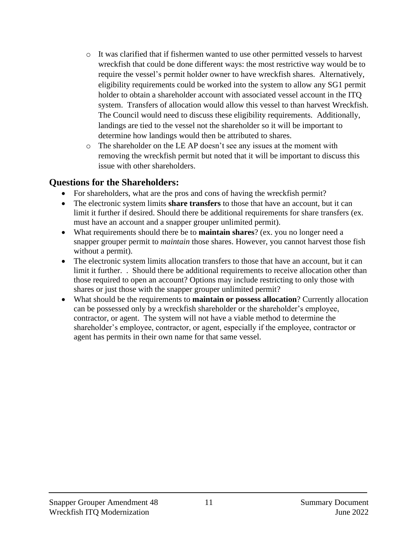- o It was clarified that if fishermen wanted to use other permitted vessels to harvest wreckfish that could be done different ways: the most restrictive way would be to require the vessel's permit holder owner to have wreckfish shares. Alternatively, eligibility requirements could be worked into the system to allow any SG1 permit holder to obtain a shareholder account with associated vessel account in the ITQ system. Transfers of allocation would allow this vessel to than harvest Wreckfish. The Council would need to discuss these eligibility requirements. Additionally, landings are tied to the vessel not the shareholder so it will be important to determine how landings would then be attributed to shares.
- o The shareholder on the LE AP doesn't see any issues at the moment with removing the wreckfish permit but noted that it will be important to discuss this issue with other shareholders.

- For shareholders, what are the pros and cons of having the wreckfish permit?
- The electronic system limits **share transfers** to those that have an account, but it can limit it further if desired. Should there be additional requirements for share transfers (ex. must have an account and a snapper grouper unlimited permit).
- What requirements should there be to **maintain shares**? (ex. you no longer need a snapper grouper permit to *maintain* those shares. However, you cannot harvest those fish without a permit).
- The electronic system limits allocation transfers to those that have an account, but it can limit it further. . Should there be additional requirements to receive allocation other than those required to open an account? Options may include restricting to only those with shares or just those with the snapper grouper unlimited permit?
- What should be the requirements to **maintain or possess allocation**? Currently allocation can be possessed only by a wreckfish shareholder or the shareholder's employee, contractor, or agent. The system will not have a viable method to determine the shareholder's employee, contractor, or agent, especially if the employee, contractor or agent has permits in their own name for that same vessel.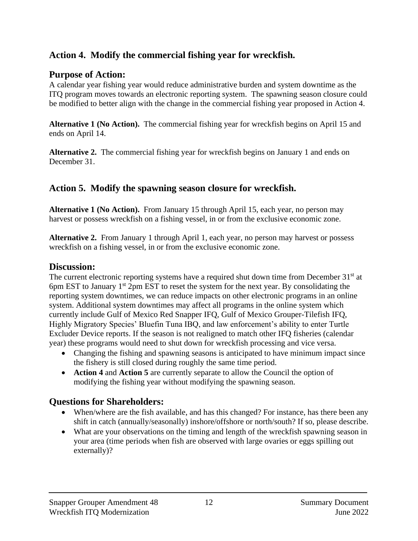#### **Action 4. Modify the commercial fishing year for wreckfish.**

#### **Purpose of Action:**

A calendar year fishing year would reduce administrative burden and system downtime as the ITQ program moves towards an electronic reporting system. The spawning season closure could be modified to better align with the change in the commercial fishing year proposed in Action 4.

**Alternative 1 (No Action).** The commercial fishing year for wreckfish begins on April 15 and ends on April 14.

**Alternative 2.** The commercial fishing year for wreckfish begins on January 1 and ends on December 31.

### **Action 5. Modify the spawning season closure for wreckfish.**

**Alternative 1 (No Action).** From January 15 through April 15, each year, no person may harvest or possess wreckfish on a fishing vessel, in or from the exclusive economic zone.

**Alternative 2.** From January 1 through April 1, each year, no person may harvest or possess wreckfish on a fishing vessel, in or from the exclusive economic zone.

#### **Discussion:**

The current electronic reporting systems have a required shut down time from December  $31<sup>st</sup>$  at 6pm EST to January 1 st 2pm EST to reset the system for the next year. By consolidating the reporting system downtimes, we can reduce impacts on other electronic programs in an online system. Additional system downtimes may affect all programs in the online system which currently include Gulf of Mexico Red Snapper IFQ, Gulf of Mexico Grouper-Tilefish IFQ, Highly Migratory Species' Bluefin Tuna IBQ, and law enforcement's ability to enter Turtle Excluder Device reports. If the season is not realigned to match other IFQ fisheries (calendar year) these programs would need to shut down for wreckfish processing and vice versa.

- Changing the fishing and spawning seasons is anticipated to have minimum impact since the fishery is still closed during roughly the same time period.
- **Action 4** and **Action 5** are currently separate to allow the Council the option of modifying the fishing year without modifying the spawning season.

- When/where are the fish available, and has this changed? For instance, has there been any shift in catch (annually/seasonally) inshore/offshore or north/south? If so, please describe.
- What are your observations on the timing and length of the wreckfish spawning season in your area (time periods when fish are observed with large ovaries or eggs spilling out externally)?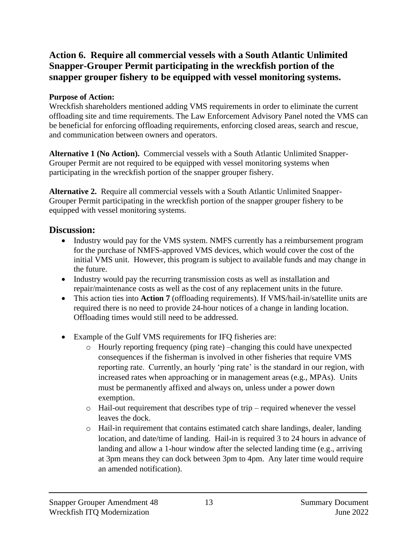### **Action 6. Require all commercial vessels with a South Atlantic Unlimited Snapper-Grouper Permit participating in the wreckfish portion of the snapper grouper fishery to be equipped with vessel monitoring systems.**

#### **Purpose of Action:**

Wreckfish shareholders mentioned adding VMS requirements in order to eliminate the current offloading site and time requirements. The Law Enforcement Advisory Panel noted the VMS can be beneficial for enforcing offloading requirements, enforcing closed areas, search and rescue, and communication between owners and operators.

**Alternative 1 (No Action).** Commercial vessels with a South Atlantic Unlimited Snapper-Grouper Permit are not required to be equipped with vessel monitoring systems when participating in the wreckfish portion of the snapper grouper fishery.

**Alternative 2.** Require all commercial vessels with a South Atlantic Unlimited Snapper-Grouper Permit participating in the wreckfish portion of the snapper grouper fishery to be equipped with vessel monitoring systems.

#### **Discussion:**

- Industry would pay for the VMS system. NMFS currently has a reimbursement program for the purchase of NMFS-approved VMS devices, which would cover the cost of the initial VMS unit. However, this program is subject to available funds and may change in the future.
- Industry would pay the recurring transmission costs as well as installation and repair/maintenance costs as well as the cost of any replacement units in the future.
- This action ties into **Action 7** (offloading requirements). If VMS/hail-in/satellite units are required there is no need to provide 24-hour notices of a change in landing location. Offloading times would still need to be addressed.
- Example of the Gulf VMS requirements for IFQ fisheries are:
	- o Hourly reporting frequency (ping rate) –changing this could have unexpected consequences if the fisherman is involved in other fisheries that require VMS reporting rate. Currently, an hourly 'ping rate' is the standard in our region, with increased rates when approaching or in management areas (e.g., MPAs). Units must be permanently affixed and always on, unless under a power down exemption.
	- o Hail-out requirement that describes type of trip required whenever the vessel leaves the dock.
	- o Hail-in requirement that contains estimated catch share landings, dealer, landing location, and date/time of landing. Hail-in is required 3 to 24 hours in advance of landing and allow a 1-hour window after the selected landing time (e.g., arriving at 3pm means they can dock between 3pm to 4pm. Any later time would require an amended notification).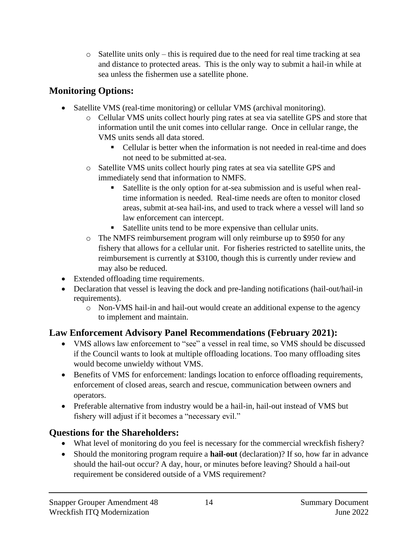$\circ$  Satellite units only – this is required due to the need for real time tracking at sea and distance to protected areas. This is the only way to submit a hail-in while at sea unless the fishermen use a satellite phone.

# **Monitoring Options:**

- Satellite VMS (real-time monitoring) or cellular VMS (archival monitoring).
	- o Cellular VMS units collect hourly ping rates at sea via satellite GPS and store that information until the unit comes into cellular range. Once in cellular range, the VMS units sends all data stored.
		- Cellular is better when the information is not needed in real-time and does not need to be submitted at-sea.
	- o Satellite VMS units collect hourly ping rates at sea via satellite GPS and immediately send that information to NMFS.
		- Satellite is the only option for at-sea submission and is useful when realtime information is needed. Real-time needs are often to monitor closed areas, submit at-sea hail-ins, and used to track where a vessel will land so law enforcement can intercept.
		- Satellite units tend to be more expensive than cellular units.
	- o The NMFS reimbursement program will only reimburse up to \$950 for any fishery that allows for a cellular unit. For fisheries restricted to satellite units, the reimbursement is currently at \$3100, though this is currently under review and may also be reduced.
- Extended offloading time requirements.
- Declaration that vessel is leaving the dock and pre-landing notifications (hail-out/hail-in requirements).
	- o Non-VMS hail-in and hail-out would create an additional expense to the agency to implement and maintain.

# **Law Enforcement Advisory Panel Recommendations (February 2021):**

- VMS allows law enforcement to "see" a vessel in real time, so VMS should be discussed if the Council wants to look at multiple offloading locations. Too many offloading sites would become unwieldy without VMS.
- Benefits of VMS for enforcement: landings location to enforce offloading requirements, enforcement of closed areas, search and rescue, communication between owners and operators.
- Preferable alternative from industry would be a hail-in, hail-out instead of VMS but fishery will adjust if it becomes a "necessary evil."

- What level of monitoring do you feel is necessary for the commercial wreckfish fishery?
- Should the monitoring program require a **hail-out** (declaration)? If so, how far in advance should the hail-out occur? A day, hour, or minutes before leaving? Should a hail-out requirement be considered outside of a VMS requirement?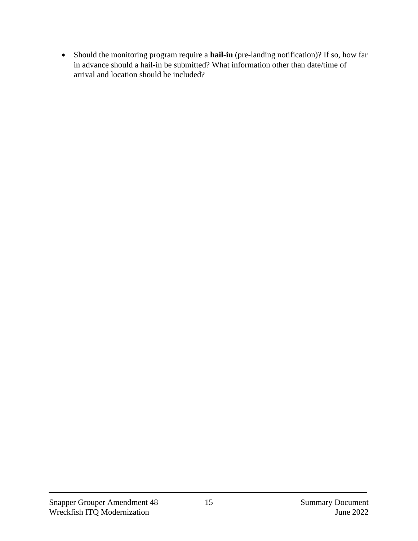• Should the monitoring program require a **hail-in** (pre-landing notification)? If so, how far in advance should a hail-in be submitted? What information other than date/time of arrival and location should be included?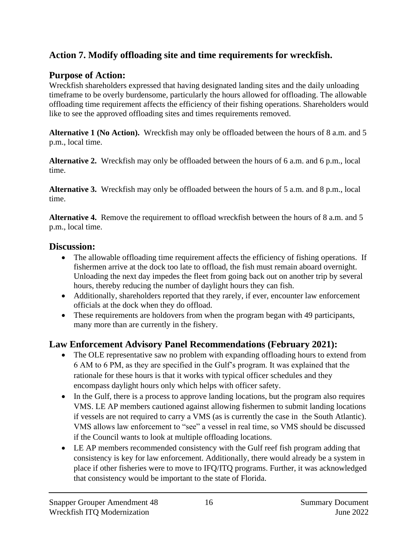# **Action 7. Modify offloading site and time requirements for wreckfish.**

### **Purpose of Action:**

Wreckfish shareholders expressed that having designated landing sites and the daily unloading timeframe to be overly burdensome, particularly the hours allowed for offloading. The allowable offloading time requirement affects the efficiency of their fishing operations. Shareholders would like to see the approved offloading sites and times requirements removed.

**Alternative 1 (No Action).** Wreckfish may only be offloaded between the hours of 8 a.m. and 5 p.m., local time.

**Alternative 2.** Wreckfish may only be offloaded between the hours of 6 a.m. and 6 p.m., local time.

**Alternative 3.** Wreckfish may only be offloaded between the hours of 5 a.m. and 8 p.m., local time.

**Alternative 4.** Remove the requirement to offload wreckfish between the hours of 8 a.m. and 5 p.m., local time.

#### **Discussion:**

- The allowable offloading time requirement affects the efficiency of fishing operations. If fishermen arrive at the dock too late to offload, the fish must remain aboard overnight. Unloading the next day impedes the fleet from going back out on another trip by several hours, thereby reducing the number of daylight hours they can fish.
- Additionally, shareholders reported that they rarely, if ever, encounter law enforcement officials at the dock when they do offload.
- These requirements are holdovers from when the program began with 49 participants, many more than are currently in the fishery.

# **Law Enforcement Advisory Panel Recommendations (February 2021):**

- The OLE representative saw no problem with expanding offloading hours to extend from 6 AM to 6 PM, as they are specified in the Gulf's program. It was explained that the rationale for these hours is that it works with typical officer schedules and they encompass daylight hours only which helps with officer safety.
- In the Gulf, there is a process to approve landing locations, but the program also requires VMS. LE AP members cautioned against allowing fishermen to submit landing locations if vessels are not required to carry a VMS (as is currently the case in the South Atlantic). VMS allows law enforcement to "see" a vessel in real time, so VMS should be discussed if the Council wants to look at multiple offloading locations.
- LE AP members recommended consistency with the Gulf reef fish program adding that consistency is key for law enforcement. Additionally, there would already be a system in place if other fisheries were to move to IFQ/ITQ programs. Further, it was acknowledged that consistency would be important to the state of Florida.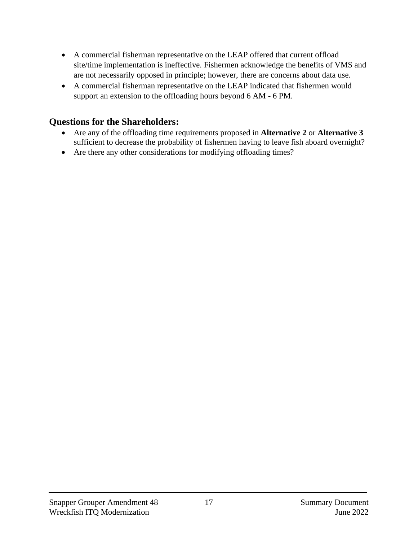- A commercial fisherman representative on the LEAP offered that current offload site/time implementation is ineffective. Fishermen acknowledge the benefits of VMS and are not necessarily opposed in principle; however, there are concerns about data use.
- A commercial fisherman representative on the LEAP indicated that fishermen would support an extension to the offloading hours beyond 6 AM - 6 PM.

- Are any of the offloading time requirements proposed in **Alternative 2** or **Alternative 3** sufficient to decrease the probability of fishermen having to leave fish aboard overnight?
- Are there any other considerations for modifying offloading times?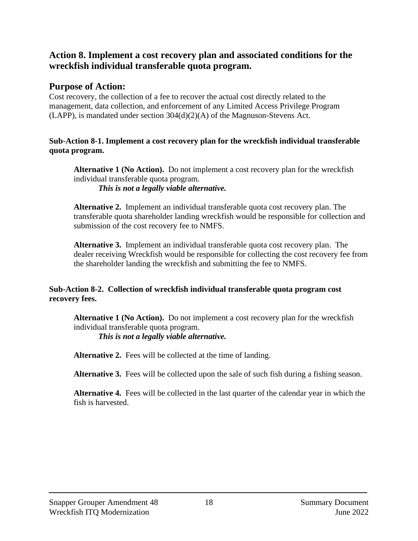#### **Action 8. Implement a cost recovery plan and associated conditions for the wreckfish individual transferable quota program.**

#### **Purpose of Action:**

Cost recovery, the collection of a fee to recover the actual cost directly related to the management, data collection, and enforcement of any Limited Access Privilege Program (LAPP), is mandated under section  $304(d)(2)(A)$  of the Magnuson-Stevens Act.

#### **Sub-Action 8-1. Implement a cost recovery plan for the wreckfish individual transferable quota program.**

**Alternative 1 (No Action).** Do not implement a cost recovery plan for the wreckfish individual transferable quota program. *This is not a legally viable alternative.*

**Alternative 2.** Implement an individual transferable quota cost recovery plan. The transferable quota shareholder landing wreckfish would be responsible for collection and submission of the cost recovery fee to NMFS.

**Alternative 3.** Implement an individual transferable quota cost recovery plan. The dealer receiving Wreckfish would be responsible for collecting the cost recovery fee from the shareholder landing the wreckfish and submitting the fee to NMFS.

#### **Sub-Action 8-2. Collection of wreckfish individual transferable quota program cost recovery fees.**

**Alternative 1 (No Action).** Do not implement a cost recovery plan for the wreckfish individual transferable quota program.

*This is not a legally viable alternative.*

**Alternative 2.** Fees will be collected at the time of landing.

**Alternative 3.** Fees will be collected upon the sale of such fish during a fishing season.

**Alternative 4.** Fees will be collected in the last quarter of the calendar year in which the fish is harvested.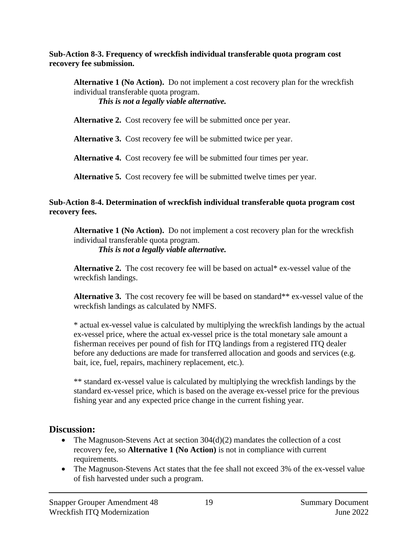**Sub-Action 8-3. Frequency of wreckfish individual transferable quota program cost recovery fee submission.**

**Alternative 1 (No Action).** Do not implement a cost recovery plan for the wreckfish individual transferable quota program. *This is not a legally viable alternative.*

**Alternative 2.** Cost recovery fee will be submitted once per year.

**Alternative 3.** Cost recovery fee will be submitted twice per year.

**Alternative 4.** Cost recovery fee will be submitted four times per year.

**Alternative 5.** Cost recovery fee will be submitted twelve times per year.

#### **Sub-Action 8-4. Determination of wreckfish individual transferable quota program cost recovery fees.**

**Alternative 1 (No Action).** Do not implement a cost recovery plan for the wreckfish individual transferable quota program.

*This is not a legally viable alternative.*

**Alternative 2.** The cost recovery fee will be based on actual\* ex-vessel value of the wreckfish landings.

Alternative 3. The cost recovery fee will be based on standard\*\* ex-vessel value of the wreckfish landings as calculated by NMFS.

\* actual ex-vessel value is calculated by multiplying the wreckfish landings by the actual ex-vessel price, where the actual ex-vessel price is the total monetary sale amount a fisherman receives per pound of fish for ITQ landings from a registered ITQ dealer before any deductions are made for transferred allocation and goods and services (e.g. bait, ice, fuel, repairs, machinery replacement, etc.).

\*\* standard ex-vessel value is calculated by multiplying the wreckfish landings by the standard ex-vessel price, which is based on the average ex-vessel price for the previous fishing year and any expected price change in the current fishing year.

# **Discussion:**

- The Magnuson-Stevens Act at section  $304(d)(2)$  mandates the collection of a cost recovery fee, so **Alternative 1 (No Action)** is not in compliance with current requirements.
- The Magnuson-Stevens Act states that the fee shall not exceed 3% of the ex-vessel value of fish harvested under such a program.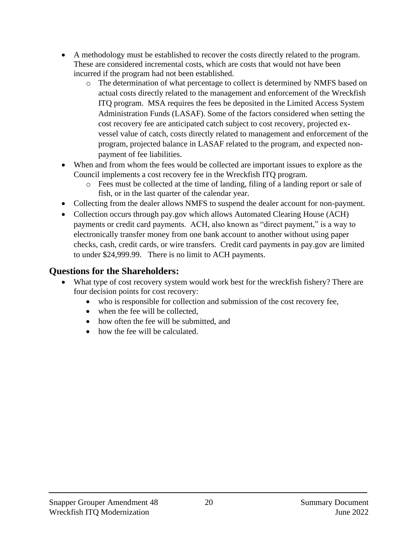- A methodology must be established to recover the costs directly related to the program. These are considered incremental costs, which are costs that would not have been incurred if the program had not been established.
	- o The determination of what percentage to collect is determined by NMFS based on actual costs directly related to the management and enforcement of the Wreckfish ITQ program. MSA requires the fees be deposited in the Limited Access System Administration Funds (LASAF). Some of the factors considered when setting the cost recovery fee are anticipated catch subject to cost recovery, projected exvessel value of catch, costs directly related to management and enforcement of the program, projected balance in LASAF related to the program, and expected nonpayment of fee liabilities.
- When and from whom the fees would be collected are important issues to explore as the Council implements a cost recovery fee in the Wreckfish ITQ program.
	- o Fees must be collected at the time of landing, filing of a landing report or sale of fish, or in the last quarter of the calendar year.
- Collecting from the dealer allows NMFS to suspend the dealer account for non-payment.
- Collection occurs through pay.gov which allows Automated Clearing House (ACH) payments or credit card payments. ACH, also known as "direct payment," is a way to electronically transfer money from one bank account to another without using paper checks, cash, credit cards, or wire transfers. Credit card payments in pay.gov are limited to under \$24,999.99. There is no limit to ACH payments.

- What type of cost recovery system would work best for the wreckfish fishery? There are four decision points for cost recovery:
	- who is responsible for collection and submission of the cost recovery fee,
	- when the fee will be collected.
	- how often the fee will be submitted, and
	- how the fee will be calculated.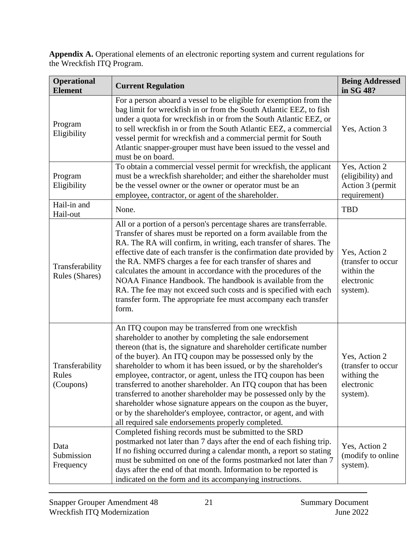**Appendix A.** Operational elements of an electronic reporting system and current regulations for the Wreckfish ITQ Program.

| <b>Operational</b><br><b>Current Regulation</b><br><b>Element</b> |                                                                                                                                                                                                                                                                                                                                                                                                                                                                                                                                                                                                                                                                                                                             | <b>Being Addressed</b><br>in SG 48?                                          |
|-------------------------------------------------------------------|-----------------------------------------------------------------------------------------------------------------------------------------------------------------------------------------------------------------------------------------------------------------------------------------------------------------------------------------------------------------------------------------------------------------------------------------------------------------------------------------------------------------------------------------------------------------------------------------------------------------------------------------------------------------------------------------------------------------------------|------------------------------------------------------------------------------|
| Program<br>Eligibility                                            | For a person aboard a vessel to be eligible for exemption from the<br>bag limit for wreckfish in or from the South Atlantic EEZ, to fish<br>under a quota for wreckfish in or from the South Atlantic EEZ, or<br>to sell wreckfish in or from the South Atlantic EEZ, a commercial<br>vessel permit for wreckfish and a commercial permit for South<br>Atlantic snapper-grouper must have been issued to the vessel and<br>must be on board.                                                                                                                                                                                                                                                                                | Yes, Action 3                                                                |
| Program<br>Eligibility                                            | To obtain a commercial vessel permit for wreckfish, the applicant<br>must be a wreckfish shareholder; and either the shareholder must<br>be the vessel owner or the owner or operator must be an<br>employee, contractor, or agent of the shareholder.                                                                                                                                                                                                                                                                                                                                                                                                                                                                      | Yes, Action 2<br>(eligibility) and<br>Action 3 (permit<br>requirement)       |
| Hail-in and<br>Hail-out                                           | None.                                                                                                                                                                                                                                                                                                                                                                                                                                                                                                                                                                                                                                                                                                                       | <b>TBD</b>                                                                   |
| Transferability<br>Rules (Shares)                                 | All or a portion of a person's percentage shares are transferrable.<br>Transfer of shares must be reported on a form available from the<br>RA. The RA will confirm, in writing, each transfer of shares. The<br>effective date of each transfer is the confirmation date provided by<br>the RA. NMFS charges a fee for each transfer of shares and<br>calculates the amount in accordance with the procedures of the<br>NOAA Finance Handbook. The handbook is available from the<br>RA. The fee may not exceed such costs and is specified with each<br>transfer form. The appropriate fee must accompany each transfer<br>form.                                                                                           | Yes, Action 2<br>(transfer to occur<br>within the<br>electronic<br>system).  |
| Transferability<br>Rules<br>(Coupons)                             | An ITQ coupon may be transferred from one wreckfish<br>shareholder to another by completing the sale endorsement<br>thereon (that is, the signature and shareholder certificate number<br>of the buyer). An ITQ coupon may be possessed only by the<br>shareholder to whom it has been issued, or by the shareholder's<br>employee, contractor, or agent, unless the ITQ coupon has been<br>transferred to another shareholder. An ITQ coupon that has been<br>transferred to another shareholder may be possessed only by the<br>shareholder whose signature appears on the coupon as the buyer,<br>or by the shareholder's employee, contractor, or agent, and with<br>all required sale endorsements properly completed. | Yes, Action 2<br>(transfer to occur<br>withing the<br>electronic<br>system). |
| Data<br>Submission<br>Frequency                                   | Completed fishing records must be submitted to the SRD<br>postmarked not later than 7 days after the end of each fishing trip.<br>If no fishing occurred during a calendar month, a report so stating<br>must be submitted on one of the forms postmarked not later than 7<br>days after the end of that month. Information to be reported is<br>indicated on the form and its accompanying instructions.                                                                                                                                                                                                                                                                                                                   | Yes, Action 2<br>(modify to online<br>system).                               |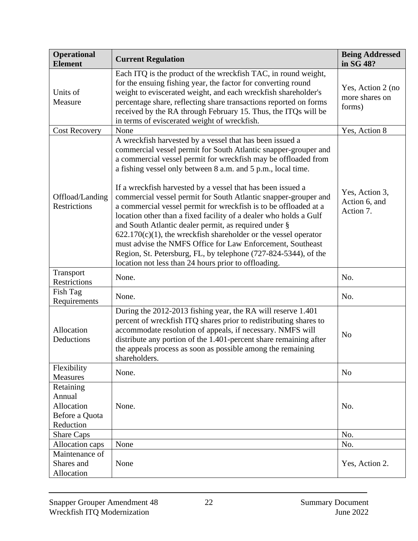| <b>Operational</b><br><b>Element</b>                             | <b>Current Regulation</b>                                                                                                                                                                                                                                                                                                                                                                                                                                                                                                                                                                                                                                                                                                                                                                                                                                        | <b>Being Addressed</b><br>in SG 48?           |
|------------------------------------------------------------------|------------------------------------------------------------------------------------------------------------------------------------------------------------------------------------------------------------------------------------------------------------------------------------------------------------------------------------------------------------------------------------------------------------------------------------------------------------------------------------------------------------------------------------------------------------------------------------------------------------------------------------------------------------------------------------------------------------------------------------------------------------------------------------------------------------------------------------------------------------------|-----------------------------------------------|
| Units of<br>Measure                                              | Each ITQ is the product of the wreckfish TAC, in round weight,<br>for the ensuing fishing year, the factor for converting round<br>weight to eviscerated weight, and each wreckfish shareholder's<br>percentage share, reflecting share transactions reported on forms<br>received by the RA through February 15. Thus, the ITQs will be<br>in terms of eviscerated weight of wreckfish.                                                                                                                                                                                                                                                                                                                                                                                                                                                                         | Yes, Action 2 (no<br>more shares on<br>forms) |
| <b>Cost Recovery</b>                                             | None                                                                                                                                                                                                                                                                                                                                                                                                                                                                                                                                                                                                                                                                                                                                                                                                                                                             | Yes, Action 8                                 |
| Offload/Landing<br>Restrictions                                  | A wreckfish harvested by a vessel that has been issued a<br>commercial vessel permit for South Atlantic snapper-grouper and<br>a commercial vessel permit for wreckfish may be offloaded from<br>a fishing vessel only between 8 a.m. and 5 p.m., local time.<br>If a wreckfish harvested by a vessel that has been issued a<br>commercial vessel permit for South Atlantic snapper-grouper and<br>a commercial vessel permit for wreckfish is to be offloaded at a<br>location other than a fixed facility of a dealer who holds a Gulf<br>and South Atlantic dealer permit, as required under §<br>$622.170(c)(1)$ , the wreckfish shareholder or the vessel operator<br>must advise the NMFS Office for Law Enforcement, Southeast<br>Region, St. Petersburg, FL, by telephone (727-824-5344), of the<br>location not less than 24 hours prior to offloading. | Yes, Action 3,<br>Action 6, and<br>Action 7.  |
| Transport<br>Restrictions                                        | None.                                                                                                                                                                                                                                                                                                                                                                                                                                                                                                                                                                                                                                                                                                                                                                                                                                                            | No.                                           |
| Fish Tag<br>Requirements                                         | None.                                                                                                                                                                                                                                                                                                                                                                                                                                                                                                                                                                                                                                                                                                                                                                                                                                                            | No.                                           |
| Allocation<br>Deductions                                         | During the 2012-2013 fishing year, the RA will reserve 1.401<br>percent of wreckfish ITQ shares prior to redistributing shares to<br>accommodate resolution of appeals, if necessary. NMFS will<br>distribute any portion of the 1.401-percent share remaining after<br>the appeals process as soon as possible among the remaining<br>shareholders.                                                                                                                                                                                                                                                                                                                                                                                                                                                                                                             | N <sub>o</sub>                                |
| Flexibility<br><b>Measures</b>                                   | None.                                                                                                                                                                                                                                                                                                                                                                                                                                                                                                                                                                                                                                                                                                                                                                                                                                                            | N <sub>o</sub>                                |
| Retaining<br>Annual<br>Allocation<br>Before a Quota<br>Reduction | None.                                                                                                                                                                                                                                                                                                                                                                                                                                                                                                                                                                                                                                                                                                                                                                                                                                                            | No.                                           |
| Share Caps                                                       |                                                                                                                                                                                                                                                                                                                                                                                                                                                                                                                                                                                                                                                                                                                                                                                                                                                                  | No.                                           |
| Allocation caps                                                  | None                                                                                                                                                                                                                                                                                                                                                                                                                                                                                                                                                                                                                                                                                                                                                                                                                                                             | No.                                           |
| Maintenance of<br>Shares and<br>Allocation                       | None                                                                                                                                                                                                                                                                                                                                                                                                                                                                                                                                                                                                                                                                                                                                                                                                                                                             | Yes, Action 2.                                |